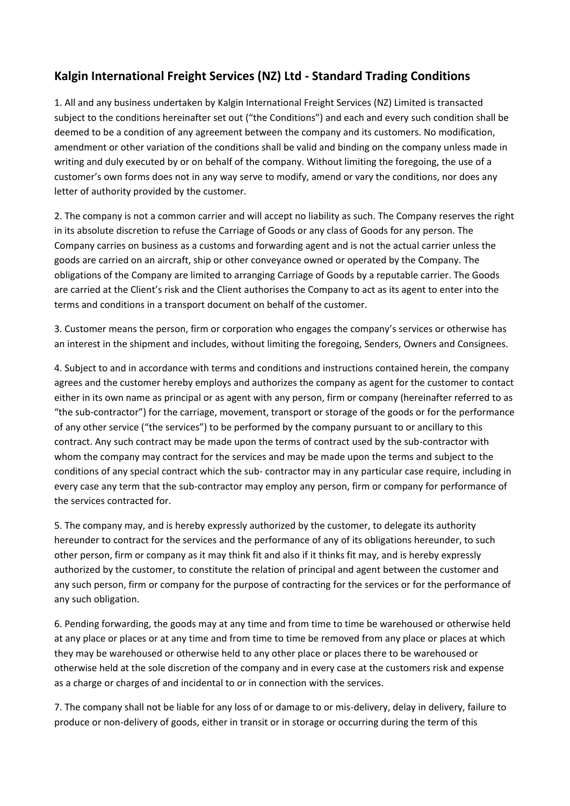## **Kalgin International Freight Services (NZ) Ltd - Standard Trading Conditions**

1. All and any business undertaken by Kalgin International Freight Services (NZ) Limited is transacted subject to the conditions hereinafter set out ("the Conditions") and each and every such condition shall be deemed to be a condition of any agreement between the company and its customers. No modification, amendment or other variation of the conditions shall be valid and binding on the company unless made in writing and duly executed by or on behalf of the company. Without limiting the foregoing, the use of a customer's own forms does not in any way serve to modify, amend or vary the conditions, nor does any letter of authority provided by the customer.

2. The company is not a common carrier and will accept no liability as such. The Company reserves the right in its absolute discretion to refuse the Carriage of Goods or any class of Goods for any person. The Company carries on business as a customs and forwarding agent and is not the actual carrier unless the goods are carried on an aircraft, ship or other conveyance owned or operated by the Company. The obligations of the Company are limited to arranging Carriage of Goods by a reputable carrier. The Goods are carried at the Client's risk and the Client authorises the Company to act as its agent to enter into the terms and conditions in a transport document on behalf of the customer.

3. Customer means the person, firm or corporation who engages the company's services or otherwise has an interest in the shipment and includes, without limiting the foregoing, Senders, Owners and Consignees.

4. Subject to and in accordance with terms and conditions and instructions contained herein, the company agrees and the customer hereby employs and authorizes the company as agent for the customer to contact either in its own name as principal or as agent with any person, firm or company (hereinafter referred to as "the sub-contractor") for the carriage, movement, transport or storage of the goods or for the performance of any other service ("the services") to be performed by the company pursuant to or ancillary to this contract. Any such contract may be made upon the terms of contract used by the sub-contractor with whom the company may contract for the services and may be made upon the terms and subject to the conditions of any special contract which the sub- contractor may in any particular case require, including in every case any term that the sub-contractor may employ any person, firm or company for performance of the services contracted for.

5. The company may, and is hereby expressly authorized by the customer, to delegate its authority hereunder to contract for the services and the performance of any of its obligations hereunder, to such other person, firm or company as it may think fit and also if it thinks fit may, and is hereby expressly authorized by the customer, to constitute the relation of principal and agent between the customer and any such person, firm or company for the purpose of contracting for the services or for the performance of any such obligation.

6. Pending forwarding, the goods may at any time and from time to time be warehoused or otherwise held at any place or places or at any time and from time to time be removed from any place or places at which they may be warehoused or otherwise held to any other place or places there to be warehoused or otherwise held at the sole discretion of the company and in every case at the customers risk and expense as a charge or charges of and incidental to or in connection with the services.

7. The company shall not be liable for any loss of or damage to or mis-delivery, delay in delivery, failure to produce or non-delivery of goods, either in transit or in storage or occurring during the term of this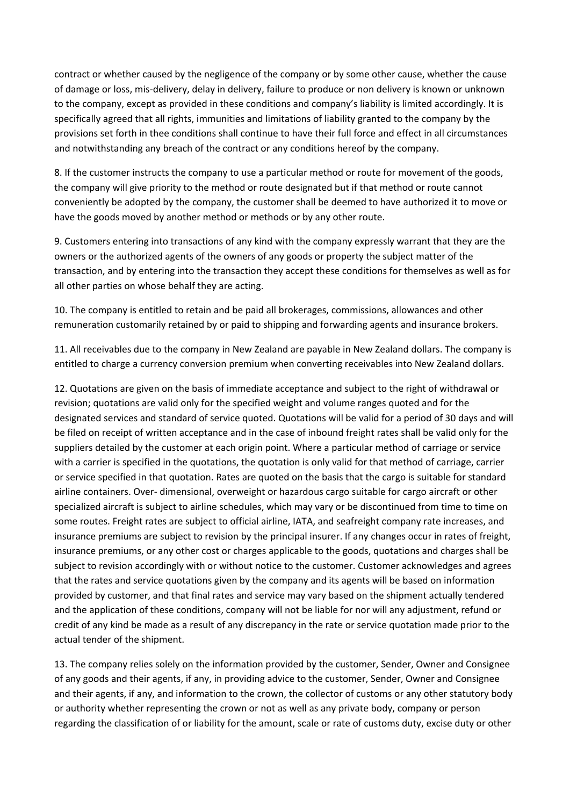contract or whether caused by the negligence of the company or by some other cause, whether the cause of damage or loss, mis-delivery, delay in delivery, failure to produce or non delivery is known or unknown to the company, except as provided in these conditions and company's liability is limited accordingly. It is specifically agreed that all rights, immunities and limitations of liability granted to the company by the provisions set forth in thee conditions shall continue to have their full force and effect in all circumstances and notwithstanding any breach of the contract or any conditions hereof by the company.

8. If the customer instructs the company to use a particular method or route for movement of the goods, the company will give priority to the method or route designated but if that method or route cannot conveniently be adopted by the company, the customer shall be deemed to have authorized it to move or have the goods moved by another method or methods or by any other route.

9. Customers entering into transactions of any kind with the company expressly warrant that they are the owners or the authorized agents of the owners of any goods or property the subject matter of the transaction, and by entering into the transaction they accept these conditions for themselves as well as for all other parties on whose behalf they are acting.

10. The company is entitled to retain and be paid all brokerages, commissions, allowances and other remuneration customarily retained by or paid to shipping and forwarding agents and insurance brokers.

11. All receivables due to the company in New Zealand are payable in New Zealand dollars. The company is entitled to charge a currency conversion premium when converting receivables into New Zealand dollars.

12. Quotations are given on the basis of immediate acceptance and subject to the right of withdrawal or revision; quotations are valid only for the specified weight and volume ranges quoted and for the designated services and standard of service quoted. Quotations will be valid for a period of 30 days and will be filed on receipt of written acceptance and in the case of inbound freight rates shall be valid only for the suppliers detailed by the customer at each origin point. Where a particular method of carriage or service with a carrier is specified in the quotations, the quotation is only valid for that method of carriage, carrier or service specified in that quotation. Rates are quoted on the basis that the cargo is suitable for standard airline containers. Over- dimensional, overweight or hazardous cargo suitable for cargo aircraft or other specialized aircraft is subject to airline schedules, which may vary or be discontinued from time to time on some routes. Freight rates are subject to official airline, IATA, and seafreight company rate increases, and insurance premiums are subject to revision by the principal insurer. If any changes occur in rates of freight, insurance premiums, or any other cost or charges applicable to the goods, quotations and charges shall be subject to revision accordingly with or without notice to the customer. Customer acknowledges and agrees that the rates and service quotations given by the company and its agents will be based on information provided by customer, and that final rates and service may vary based on the shipment actually tendered and the application of these conditions, company will not be liable for nor will any adjustment, refund or credit of any kind be made as a result of any discrepancy in the rate or service quotation made prior to the actual tender of the shipment.

13. The company relies solely on the information provided by the customer, Sender, Owner and Consignee of any goods and their agents, if any, in providing advice to the customer, Sender, Owner and Consignee and their agents, if any, and information to the crown, the collector of customs or any other statutory body or authority whether representing the crown or not as well as any private body, company or person regarding the classification of or liability for the amount, scale or rate of customs duty, excise duty or other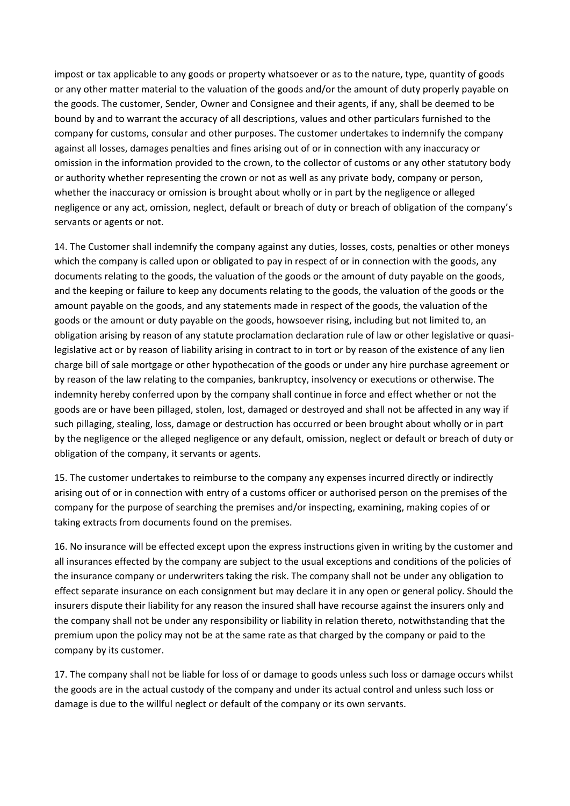impost or tax applicable to any goods or property whatsoever or as to the nature, type, quantity of goods or any other matter material to the valuation of the goods and/or the amount of duty properly payable on the goods. The customer, Sender, Owner and Consignee and their agents, if any, shall be deemed to be bound by and to warrant the accuracy of all descriptions, values and other particulars furnished to the company for customs, consular and other purposes. The customer undertakes to indemnify the company against all losses, damages penalties and fines arising out of or in connection with any inaccuracy or omission in the information provided to the crown, to the collector of customs or any other statutory body or authority whether representing the crown or not as well as any private body, company or person, whether the inaccuracy or omission is brought about wholly or in part by the negligence or alleged negligence or any act, omission, neglect, default or breach of duty or breach of obligation of the company's servants or agents or not.

14. The Customer shall indemnify the company against any duties, losses, costs, penalties or other moneys which the company is called upon or obligated to pay in respect of or in connection with the goods, any documents relating to the goods, the valuation of the goods or the amount of duty payable on the goods, and the keeping or failure to keep any documents relating to the goods, the valuation of the goods or the amount payable on the goods, and any statements made in respect of the goods, the valuation of the goods or the amount or duty payable on the goods, howsoever rising, including but not limited to, an obligation arising by reason of any statute proclamation declaration rule of law or other legislative or quasilegislative act or by reason of liability arising in contract to in tort or by reason of the existence of any lien charge bill of sale mortgage or other hypothecation of the goods or under any hire purchase agreement or by reason of the law relating to the companies, bankruptcy, insolvency or executions or otherwise. The indemnity hereby conferred upon by the company shall continue in force and effect whether or not the goods are or have been pillaged, stolen, lost, damaged or destroyed and shall not be affected in any way if such pillaging, stealing, loss, damage or destruction has occurred or been brought about wholly or in part by the negligence or the alleged negligence or any default, omission, neglect or default or breach of duty or obligation of the company, it servants or agents.

15. The customer undertakes to reimburse to the company any expenses incurred directly or indirectly arising out of or in connection with entry of a customs officer or authorised person on the premises of the company for the purpose of searching the premises and/or inspecting, examining, making copies of or taking extracts from documents found on the premises.

16. No insurance will be effected except upon the express instructions given in writing by the customer and all insurances effected by the company are subject to the usual exceptions and conditions of the policies of the insurance company or underwriters taking the risk. The company shall not be under any obligation to effect separate insurance on each consignment but may declare it in any open or general policy. Should the insurers dispute their liability for any reason the insured shall have recourse against the insurers only and the company shall not be under any responsibility or liability in relation thereto, notwithstanding that the premium upon the policy may not be at the same rate as that charged by the company or paid to the company by its customer.

17. The company shall not be liable for loss of or damage to goods unless such loss or damage occurs whilst the goods are in the actual custody of the company and under its actual control and unless such loss or damage is due to the willful neglect or default of the company or its own servants.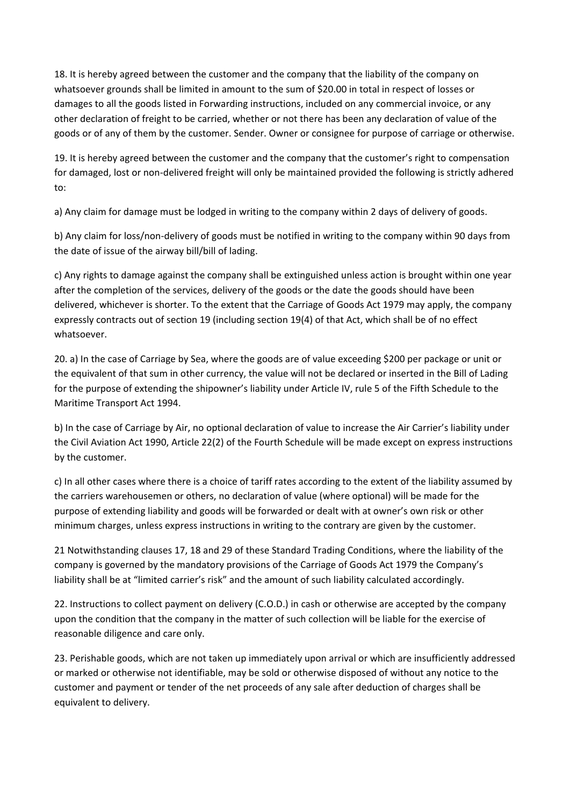18. It is hereby agreed between the customer and the company that the liability of the company on whatsoever grounds shall be limited in amount to the sum of \$20.00 in total in respect of losses or damages to all the goods listed in Forwarding instructions, included on any commercial invoice, or any other declaration of freight to be carried, whether or not there has been any declaration of value of the goods or of any of them by the customer. Sender. Owner or consignee for purpose of carriage or otherwise.

19. It is hereby agreed between the customer and the company that the customer's right to compensation for damaged, lost or non-delivered freight will only be maintained provided the following is strictly adhered to:

a) Any claim for damage must be lodged in writing to the company within 2 days of delivery of goods.

b) Any claim for loss/non-delivery of goods must be notified in writing to the company within 90 days from the date of issue of the airway bill/bill of lading.

c) Any rights to damage against the company shall be extinguished unless action is brought within one year after the completion of the services, delivery of the goods or the date the goods should have been delivered, whichever is shorter. To the extent that the Carriage of Goods Act 1979 may apply, the company expressly contracts out of section 19 (including section 19(4) of that Act, which shall be of no effect whatsoever.

20. a) In the case of Carriage by Sea, where the goods are of value exceeding \$200 per package or unit or the equivalent of that sum in other currency, the value will not be declared or inserted in the Bill of Lading for the purpose of extending the shipowner's liability under Article IV, rule 5 of the Fifth Schedule to the Maritime Transport Act 1994.

b) In the case of Carriage by Air, no optional declaration of value to increase the Air Carrier's liability under the Civil Aviation Act 1990, Article 22(2) of the Fourth Schedule will be made except on express instructions by the customer.

c) In all other cases where there is a choice of tariff rates according to the extent of the liability assumed by the carriers warehousemen or others, no declaration of value (where optional) will be made for the purpose of extending liability and goods will be forwarded or dealt with at owner's own risk or other minimum charges, unless express instructions in writing to the contrary are given by the customer.

21 Notwithstanding clauses 17, 18 and 29 of these Standard Trading Conditions, where the liability of the company is governed by the mandatory provisions of the Carriage of Goods Act 1979 the Company's liability shall be at "limited carrier's risk" and the amount of such liability calculated accordingly.

22. Instructions to collect payment on delivery (C.O.D.) in cash or otherwise are accepted by the company upon the condition that the company in the matter of such collection will be liable for the exercise of reasonable diligence and care only.

23. Perishable goods, which are not taken up immediately upon arrival or which are insufficiently addressed or marked or otherwise not identifiable, may be sold or otherwise disposed of without any notice to the customer and payment or tender of the net proceeds of any sale after deduction of charges shall be equivalent to delivery.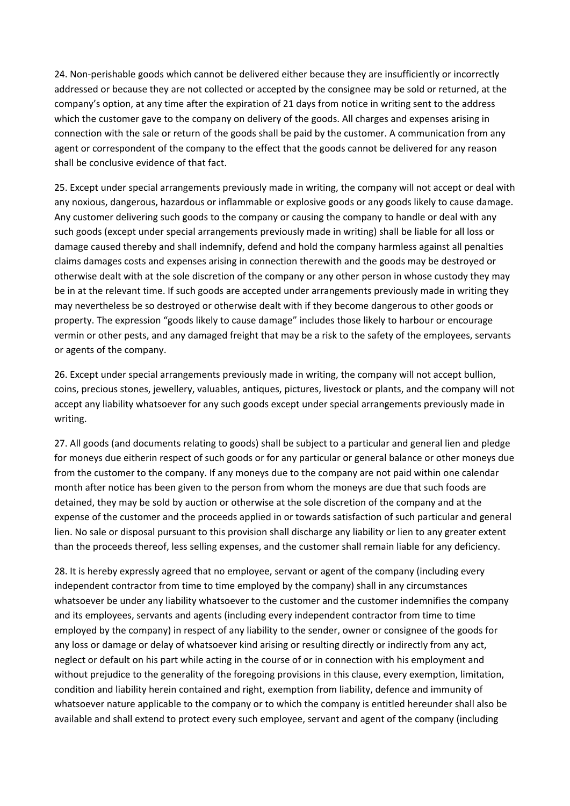24. Non-perishable goods which cannot be delivered either because they are insufficiently or incorrectly addressed or because they are not collected or accepted by the consignee may be sold or returned, at the company's option, at any time after the expiration of 21 days from notice in writing sent to the address which the customer gave to the company on delivery of the goods. All charges and expenses arising in connection with the sale or return of the goods shall be paid by the customer. A communication from any agent or correspondent of the company to the effect that the goods cannot be delivered for any reason shall be conclusive evidence of that fact.

25. Except under special arrangements previously made in writing, the company will not accept or deal with any noxious, dangerous, hazardous or inflammable or explosive goods or any goods likely to cause damage. Any customer delivering such goods to the company or causing the company to handle or deal with any such goods (except under special arrangements previously made in writing) shall be liable for all loss or damage caused thereby and shall indemnify, defend and hold the company harmless against all penalties claims damages costs and expenses arising in connection therewith and the goods may be destroyed or otherwise dealt with at the sole discretion of the company or any other person in whose custody they may be in at the relevant time. If such goods are accepted under arrangements previously made in writing they may nevertheless be so destroyed or otherwise dealt with if they become dangerous to other goods or property. The expression "goods likely to cause damage" includes those likely to harbour or encourage vermin or other pests, and any damaged freight that may be a risk to the safety of the employees, servants or agents of the company.

26. Except under special arrangements previously made in writing, the company will not accept bullion, coins, precious stones, jewellery, valuables, antiques, pictures, livestock or plants, and the company will not accept any liability whatsoever for any such goods except under special arrangements previously made in writing.

27. All goods (and documents relating to goods) shall be subject to a particular and general lien and pledge for moneys due eitherin respect of such goods or for any particular or general balance or other moneys due from the customer to the company. If any moneys due to the company are not paid within one calendar month after notice has been given to the person from whom the moneys are due that such foods are detained, they may be sold by auction or otherwise at the sole discretion of the company and at the expense of the customer and the proceeds applied in or towards satisfaction of such particular and general lien. No sale or disposal pursuant to this provision shall discharge any liability or lien to any greater extent than the proceeds thereof, less selling expenses, and the customer shall remain liable for any deficiency.

28. It is hereby expressly agreed that no employee, servant or agent of the company (including every independent contractor from time to time employed by the company) shall in any circumstances whatsoever be under any liability whatsoever to the customer and the customer indemnifies the company and its employees, servants and agents (including every independent contractor from time to time employed by the company) in respect of any liability to the sender, owner or consignee of the goods for any loss or damage or delay of whatsoever kind arising or resulting directly or indirectly from any act, neglect or default on his part while acting in the course of or in connection with his employment and without prejudice to the generality of the foregoing provisions in this clause, every exemption, limitation, condition and liability herein contained and right, exemption from liability, defence and immunity of whatsoever nature applicable to the company or to which the company is entitled hereunder shall also be available and shall extend to protect every such employee, servant and agent of the company (including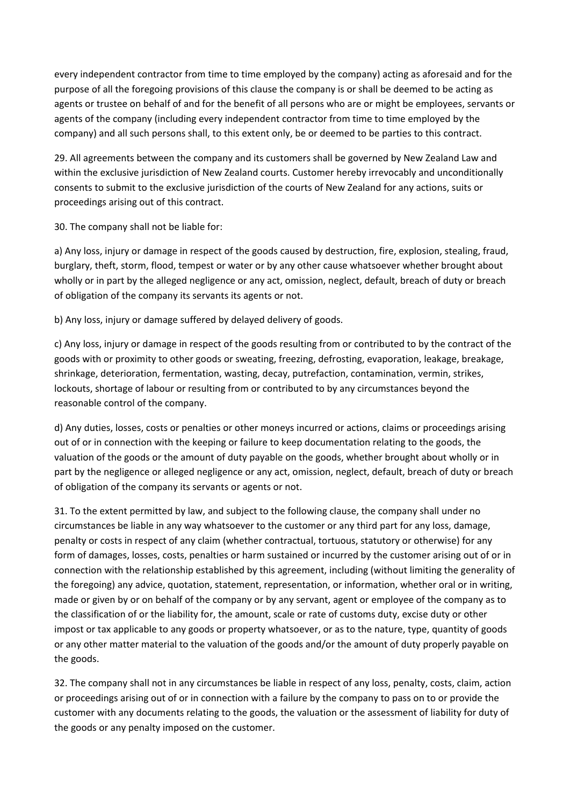every independent contractor from time to time employed by the company) acting as aforesaid and for the purpose of all the foregoing provisions of this clause the company is or shall be deemed to be acting as agents or trustee on behalf of and for the benefit of all persons who are or might be employees, servants or agents of the company (including every independent contractor from time to time employed by the company) and all such persons shall, to this extent only, be or deemed to be parties to this contract.

29. All agreements between the company and its customers shall be governed by New Zealand Law and within the exclusive jurisdiction of New Zealand courts. Customer hereby irrevocably and unconditionally consents to submit to the exclusive jurisdiction of the courts of New Zealand for any actions, suits or proceedings arising out of this contract.

30. The company shall not be liable for:

a) Any loss, injury or damage in respect of the goods caused by destruction, fire, explosion, stealing, fraud, burglary, theft, storm, flood, tempest or water or by any other cause whatsoever whether brought about wholly or in part by the alleged negligence or any act, omission, neglect, default, breach of duty or breach of obligation of the company its servants its agents or not.

b) Any loss, injury or damage suffered by delayed delivery of goods.

c) Any loss, injury or damage in respect of the goods resulting from or contributed to by the contract of the goods with or proximity to other goods or sweating, freezing, defrosting, evaporation, leakage, breakage, shrinkage, deterioration, fermentation, wasting, decay, putrefaction, contamination, vermin, strikes, lockouts, shortage of labour or resulting from or contributed to by any circumstances beyond the reasonable control of the company.

d) Any duties, losses, costs or penalties or other moneys incurred or actions, claims or proceedings arising out of or in connection with the keeping or failure to keep documentation relating to the goods, the valuation of the goods or the amount of duty payable on the goods, whether brought about wholly or in part by the negligence or alleged negligence or any act, omission, neglect, default, breach of duty or breach of obligation of the company its servants or agents or not.

31. To the extent permitted by law, and subject to the following clause, the company shall under no circumstances be liable in any way whatsoever to the customer or any third part for any loss, damage, penalty or costs in respect of any claim (whether contractual, tortuous, statutory or otherwise) for any form of damages, losses, costs, penalties or harm sustained or incurred by the customer arising out of or in connection with the relationship established by this agreement, including (without limiting the generality of the foregoing) any advice, quotation, statement, representation, or information, whether oral or in writing, made or given by or on behalf of the company or by any servant, agent or employee of the company as to the classification of or the liability for, the amount, scale or rate of customs duty, excise duty or other impost or tax applicable to any goods or property whatsoever, or as to the nature, type, quantity of goods or any other matter material to the valuation of the goods and/or the amount of duty properly payable on the goods.

32. The company shall not in any circumstances be liable in respect of any loss, penalty, costs, claim, action or proceedings arising out of or in connection with a failure by the company to pass on to or provide the customer with any documents relating to the goods, the valuation or the assessment of liability for duty of the goods or any penalty imposed on the customer.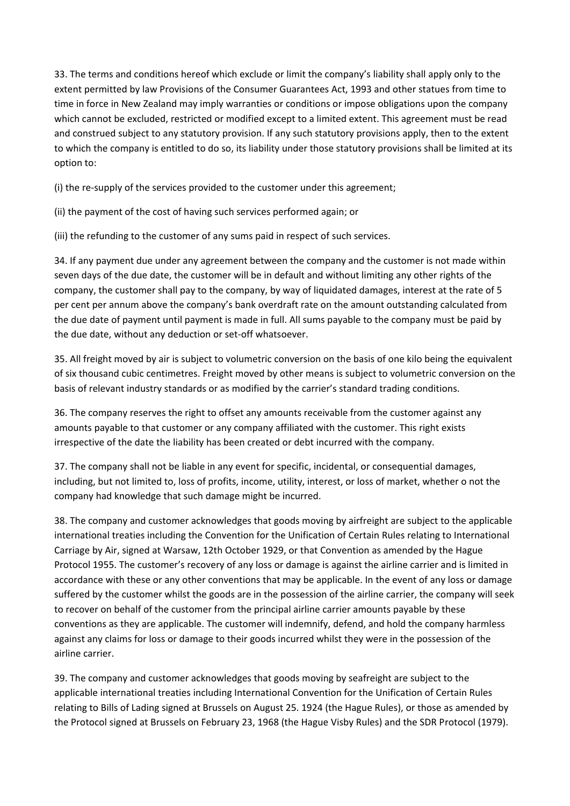33. The terms and conditions hereof which exclude or limit the company's liability shall apply only to the extent permitted by law Provisions of the Consumer Guarantees Act, 1993 and other statues from time to time in force in New Zealand may imply warranties or conditions or impose obligations upon the company which cannot be excluded, restricted or modified except to a limited extent. This agreement must be read and construed subject to any statutory provision. If any such statutory provisions apply, then to the extent to which the company is entitled to do so, its liability under those statutory provisions shall be limited at its option to:

(i) the re-supply of the services provided to the customer under this agreement;

(ii) the payment of the cost of having such services performed again; or

(iii) the refunding to the customer of any sums paid in respect of such services.

34. If any payment due under any agreement between the company and the customer is not made within seven days of the due date, the customer will be in default and without limiting any other rights of the company, the customer shall pay to the company, by way of liquidated damages, interest at the rate of 5 per cent per annum above the company's bank overdraft rate on the amount outstanding calculated from the due date of payment until payment is made in full. All sums payable to the company must be paid by the due date, without any deduction or set-off whatsoever.

35. All freight moved by air is subject to volumetric conversion on the basis of one kilo being the equivalent of six thousand cubic centimetres. Freight moved by other means is subject to volumetric conversion on the basis of relevant industry standards or as modified by the carrier's standard trading conditions.

36. The company reserves the right to offset any amounts receivable from the customer against any amounts payable to that customer or any company affiliated with the customer. This right exists irrespective of the date the liability has been created or debt incurred with the company.

37. The company shall not be liable in any event for specific, incidental, or consequential damages, including, but not limited to, loss of profits, income, utility, interest, or loss of market, whether o not the company had knowledge that such damage might be incurred.

38. The company and customer acknowledges that goods moving by airfreight are subject to the applicable international treaties including the Convention for the Unification of Certain Rules relating to International Carriage by Air, signed at Warsaw, 12th October 1929, or that Convention as amended by the Hague Protocol 1955. The customer's recovery of any loss or damage is against the airline carrier and is limited in accordance with these or any other conventions that may be applicable. In the event of any loss or damage suffered by the customer whilst the goods are in the possession of the airline carrier, the company will seek to recover on behalf of the customer from the principal airline carrier amounts payable by these conventions as they are applicable. The customer will indemnify, defend, and hold the company harmless against any claims for loss or damage to their goods incurred whilst they were in the possession of the airline carrier.

39. The company and customer acknowledges that goods moving by seafreight are subject to the applicable international treaties including International Convention for the Unification of Certain Rules relating to Bills of Lading signed at Brussels on August 25. 1924 (the Hague Rules), or those as amended by the Protocol signed at Brussels on February 23, 1968 (the Hague Visby Rules) and the SDR Protocol (1979).